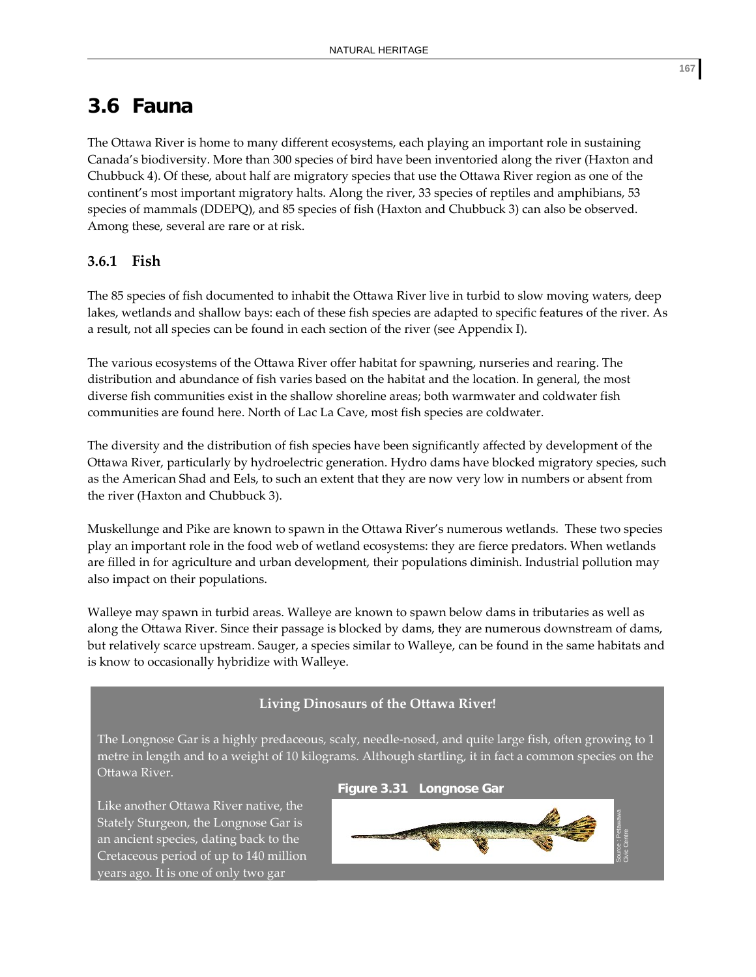# **3.6 Fauna**

The Ottawa River is home to many different ecosystems, each playing an important role in sustaining Canada's biodiversity. More than 300 species of bird have been inventoried along the river (Haxton and Chubbuck 4). Of these, about half are migratory species that use the Ottawa River region as one of the continent's most important migratory halts. Along the river, 33 species of reptiles and amphibians, 53 species of mammals (DDEPQ), and 85 species of fish (Haxton and Chubbuck 3) can also be observed. Among these, several are rare or at risk.

# **3.6.1 Fish**

The 85 species of fish documented to inhabit the Ottawa River live in turbid to slow moving waters, deep lakes, wetlands and shallow bays: each of these fish species are adapted to specific features of the river. As a result, not all species can be found in each section of the river (see Appendix I).

The various ecosystems of the Ottawa River offer habitat for spawning, nurseries and rearing. The distribution and abundance of fish varies based on the habitat and the location. In general, the most diverse fish communities exist in the shallow shoreline areas; both warmwater and coldwater fish communities are found here. North of Lac La Cave, most fish species are coldwater.

The diversity and the distribution of fish species have been significantly affected by development of the Ottawa River, particularly by hydroelectric generation. Hydro dams have blocked migratory species, such as the American Shad and Eels, to such an extent that they are now very low in numbers or absent from the river (Haxton and Chubbuck 3).

Muskellunge and Pike are known to spawn in the Ottawa River's numerous wetlands. These two species play an important role in the food web of wetland ecosystems: they are fierce predators. When wetlands are filled in for agriculture and urban development, their populations diminish. Industrial pollution may also impact on their populations.

Walleye may spawn in turbid areas. Walleye are known to spawn below dams in tributaries as well as along the Ottawa River. Since their passage is blocked by dams, they are numerous downstream of dams, but relatively scarce upstream. Sauger, a species similar to Walleye, can be found in the same habitats and is know to occasionally hybridize with Walleye.

# **Living Dinosaurs of the Ottawa River!**

The Longnose Gar is a highly predaceous, scaly, needle‐nosed, and quite large fish, often growing to 1 metre in length and to a weight of 10 kilograms. Although startling, it in fact a common species on the Ottawa River.

**Figure 3.31 Longnose Gar**

Like another Ottawa River native, the Stately Sturgeon, the Longnose Gar is an ancient species, dating back to the Cretaceous period of up to 140 million years ago. It is one of only two gar

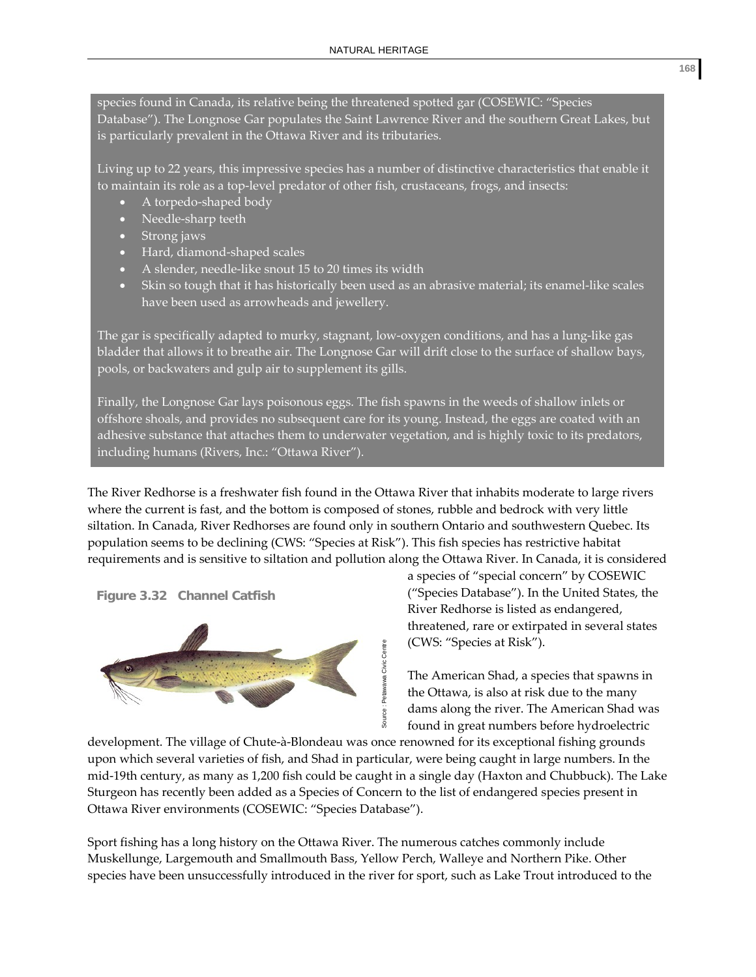species found in Canada, its relative being the threatened spotted gar (COSEWIC: "Species Database"). The Longnose Gar populates the Saint Lawrence River and the southern Great Lakes, but is particularly prevalent in the Ottawa River and its tributaries.

Living up to 22 years, this impressive species has a number of distinctive characteristics that enable it to maintain its role as a top‐level predator of other fish, crustaceans, frogs, and insects:

- A torpedo-shaped body
- Needle‐sharp teeth
- Strong jaws
- Hard, diamond‐shaped scales
- A slender, needle‐like snout 15 to 20 times its width
- Skin so tough that it has historically been used as an abrasive material; its enamel‐like scales have been used as arrowheads and jewellery.

The gar is specifically adapted to murky, stagnant, low‐oxygen conditions, and has a lung‐like gas bladder that allows it to breathe air. The Longnose Gar will drift close to the surface of shallow bays, pools, or backwaters and gulp air to supplement its gills.

Finally, the Longnose Gar lays poisonous eggs. The fish spawns in the weeds of shallow inlets or offshore shoals, and provides no subsequent care for its young. Instead, the eggs are coated with an adhesive substance that attaches them to underwater vegetation, and is highly toxic to its predators, including humans (Rivers, Inc.: "Ottawa River").

The River Redhorse is a freshwater fish found in the Ottawa River that inhabits moderate to large rivers where the current is fast, and the bottom is composed of stones, rubble and bedrock with very little siltation. In Canada, River Redhorses are found only in southern Ontario and southwestern Quebec. Its population seems to be declining (CWS: "Species at Risk"). This fish species has restrictive habitat requirements and is sensitive to siltation and pollution along the Ottawa River. In Canada, it is considered





a species of "special concern" by COSEWIC ("Species Database"). In the United States, the River Redhorse is listed as endangered, threatened, rare or extirpated in several states (CWS: "Species at Risk").

The American Shad, a species that spawns in the Ottawa, is also at risk due to the many dams along the river. The American Shad was found in great numbers before hydroelectric

development. The village of Chute‐à‐Blondeau was once renowned for its exceptional fishing grounds upon which several varieties of fish, and Shad in particular, were being caught in large numbers. In the mid‐19th century, as many as 1,200 fish could be caught in a single day (Haxton and Chubbuck). The Lake Sturgeon has recently been added as a Species of Concern to the list of endangered species present in Ottawa River environments (COSEWIC: "Species Database"). species at Risk").<br>
The American Shad, a species that spawns in the Ottawa, is also at risk due to the many<br>
dams along the river. The American Shad was found in great numbers before hydroelectric<br>
development. The village

Sport fishing has a long history on the Ottawa River. The numerous catches commonly include Muskellunge, Largemouth and Smallmouth Bass, Yellow Perch, Walleye and Northern Pike. Other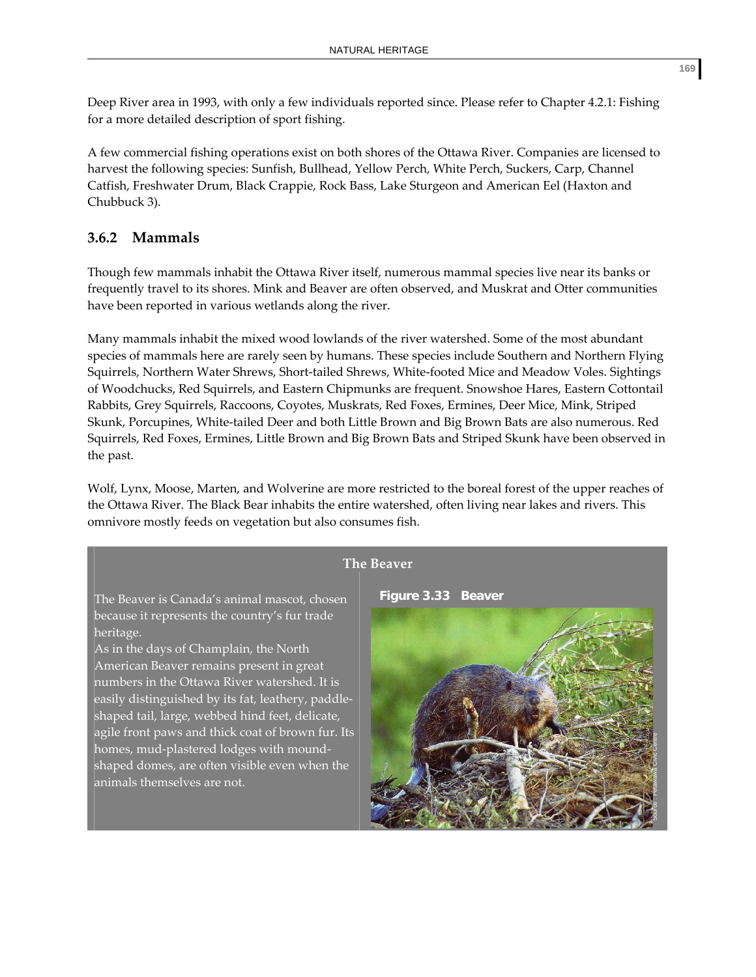Deep River area in 1993, with only a few individuals reported since. Please refer to Chapter 4.2.1: Fishing for a more detailed description of sport fishing.

A few commercial fishing operations exist on both shores of the Ottawa River. Companies are licensed to harvest the following species: Sunfish, Bullhead, Yellow Perch, White Perch, Suckers, Carp, Channel Catfish, Freshwater Drum, Black Crappie, Rock Bass, Lake Sturgeon and American Eel (Haxton and Chubbuck 3).

# **3.6.2 Mammals**

heritage.

animals themselves are not.

Though few mammals inhabit the Ottawa River itself, numerous mammal species live near its banks or frequently travel to its shores. Mink and Beaver are often observed, and Muskrat and Otter communities have been reported in various wetlands along the river.

Many mammals inhabit the mixed wood lowlands of the river watershed. Some of the most abundant species of mammals here are rarely seen by humans. These species include Southern and Northern Flying Squirrels, Northern Water Shrews, Short‐tailed Shrews, White‐footed Mice and Meadow Voles. Sightings of Woodchucks, Red Squirrels, and Eastern Chipmunks are frequent. Snowshoe Hares, Eastern Cottontail Rabbits, Grey Squirrels, Raccoons, Coyotes, Muskrats, Red Foxes, Ermines, Deer Mice, Mink, Striped Skunk, Porcupines, White‐tailed Deer and both Little Brown and Big Brown Bats are also numerous. Red Squirrels, Red Foxes, Ermines, Little Brown and Big Brown Bats and Striped Skunk have been observed in the past.

Wolf, Lynx, Moose, Marten, and Wolverine are more restricted to the boreal forest of the upper reaches of the Ottawa River. The Black Bear inhabits the entire watershed, often living near lakes and rivers. This omnivore mostly feeds on vegetation but also consumes fish.

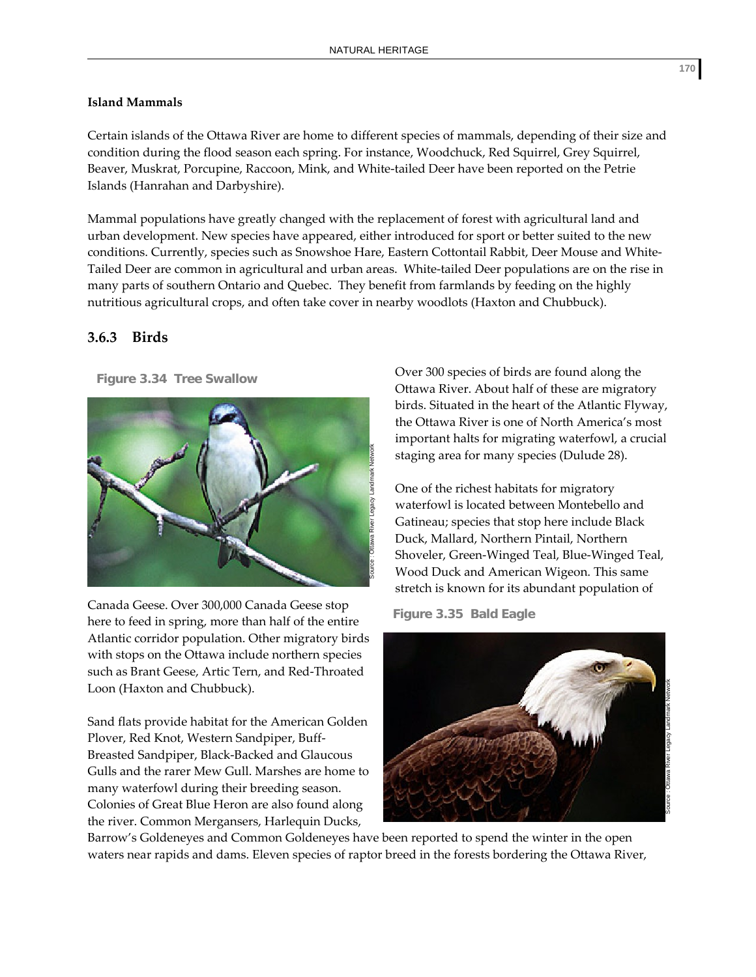#### **Island Mammals**

Certain islands of the Ottawa River are home to different species of mammals, depending of their size and condition during the flood season each spring. For instance, Woodchuck, Red Squirrel, Grey Squirrel, Beaver, Muskrat, Porcupine, Raccoon, Mink, and White‐tailed Deer have been reported on the Petrie Islands (Hanrahan and Darbyshire).

Mammal populations have greatly changed with the replacement of forest with agricultural land and urban development. New species have appeared, either introduced for sport or better suited to the new conditions. Currently, species such as Snowshoe Hare, Eastern Cottontail Rabbit, Deer Mouse and White-Tailed Deer are common in agricultural and urban areas. White-tailed Deer populations are on the rise in many parts of southern Ontario and Quebec. They benefit from farmlands by feeding on the highly nutritious agricultural crops, and often take cover in nearby woodlots (Haxton and Chubbuck).

# **3.6.3 Birds**

**Figure 3.34 Tree Swallow** 



Canada Geese. Over 300,000 Canada Geese stop here to feed in spring, more than half of the entire Atlantic corridor population. Other migratory birds with stops on the Ottawa include northern species such as Brant Geese, Artic Tern, and Red‐Throated Loon (Haxton and Chubbuck).

Sand flats provide habitat for the American Golden Plover, Red Knot, Western Sandpiper, Buff‐ Breasted Sandpiper, Black‐Backed and Glaucous Gulls and the rarer Mew Gull. Marshes are home to many waterfowl during their breeding season. Colonies of Great Blue Heron are also found along the river. Common Mergansers, Harlequin Ducks,

Over 300 species of birds are found along the Ottawa River. About half of these are migratory birds. Situated in the heart of the Atlantic Flyway, the Ottawa River is one of North America's most important halts for migrating waterfowl, a crucial staging area for many species (Dulude 28).

One of the richest habitats for migratory waterfowl is located between Montebello and Gatineau; species that stop here include Black Duck, Mallard, Northern Pintail, Northern Shoveler, Green‐Winged Teal, Blue‐Winged Teal, Wood Duck and American Wigeon. This same stretch is known for its abundant population of

**Figure 3.35 Bald Eagle** 



Barrow's Goldeneyes and Common Goldeneyes have been reported to spend the winter in the open waters near rapids and dams. Eleven species of raptor breed in the forests bordering the Ottawa River,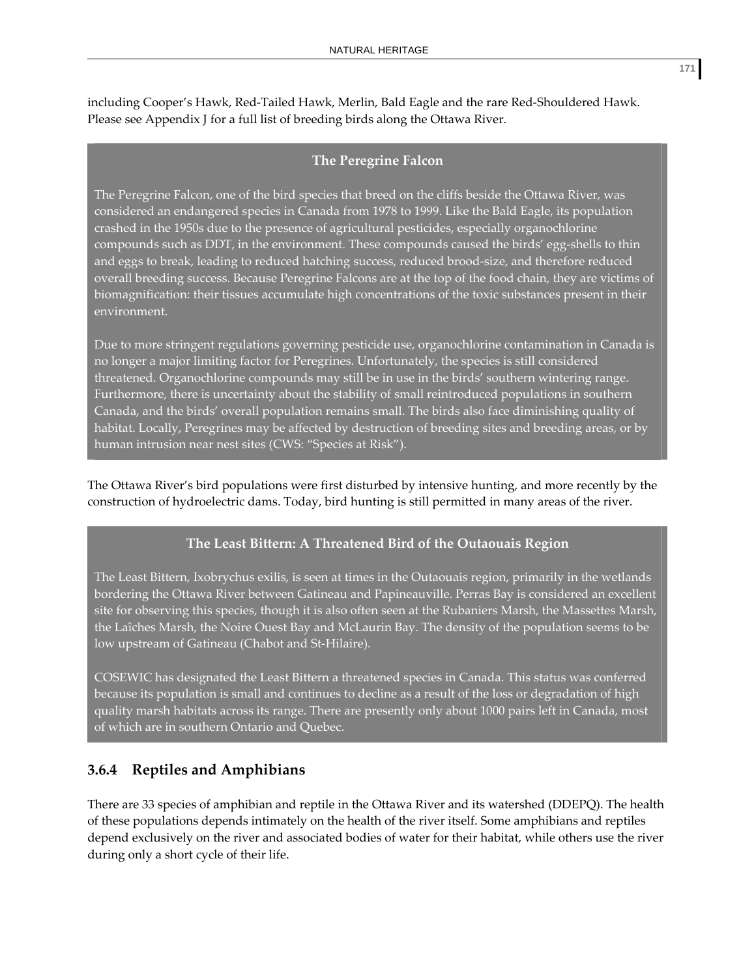including Cooper's Hawk, Red‐Tailed Hawk, Merlin, Bald Eagle and the rare Red‐Shouldered Hawk. Please see Appendix J for a full list of breeding birds along the Ottawa River.

#### **The Peregrine Falcon**

The Peregrine Falcon, one of the bird species that breed on the cliffs beside the Ottawa River, was considered an endangered species in Canada from 1978 to 1999. Like the Bald Eagle, its population crashed in the 1950s due to the presence of agricultural pesticides, especially organochlorine compounds such as DDT, in the environment. These compounds caused the birds' egg-shells to thin and eggs to break, leading to reduced hatching success, reduced brood‐size, and therefore reduced overall breeding success. Because Peregrine Falcons are at the top of the food chain, they are victims of biomagnification: their tissues accumulate high concentrations of the toxic substances present in their environment.

Due to more stringent regulations governing pesticide use, organochlorine contamination in Canada is no longer a major limiting factor for Peregrines. Unfortunately, the species is still considered threatened. Organochlorine compounds may still be in use in the birds' southern wintering range. Furthermore, there is uncertainty about the stability of small reintroduced populations in southern Canada, and the birds' overall population remains small. The birds also face diminishing quality of habitat. Locally, Peregrines may be affected by destruction of breeding sites and breeding areas, or by human intrusion near nest sites (CWS: "Species at Risk").

The Ottawa River's bird populations were first disturbed by intensive hunting, and more recently by the construction of hydroelectric dams. Today, bird hunting is still permitted in many areas of the river.

## **The Least Bittern: A Threatened Bird of the Outaouais Region**

The Least Bittern, Ixobrychus exilis, is seen at times in the Outaouais region, primarily in the wetlands bordering the Ottawa River between Gatineau and Papineauville. Perras Bay is considered an excellent site for observing this species, though it is also often seen at the Rubaniers Marsh, the Massettes Marsh, the Laîches Marsh, the Noire Ouest Bay and McLaurin Bay. The density of the population seems to be low upstream of Gatineau (Chabot and St-Hilaire).

COSEWIC has designated the Least Bittern a threatened species in Canada. This status was conferred because its population is small and continues to decline as a result of the loss or degradation of high quality marsh habitats across its range. There are presently only about 1000 pairs left in Canada, most of which are in southern Ontario and Quebec.

# **3.6.4 Reptiles and Amphibians**

There are 33 species of amphibian and reptile in the Ottawa River and its watershed (DDEPQ). The health of these populations depends intimately on the health of the river itself. Some amphibians and reptiles depend exclusively on the river and associated bodies of water for their habitat, while others use the river during only a short cycle of their life.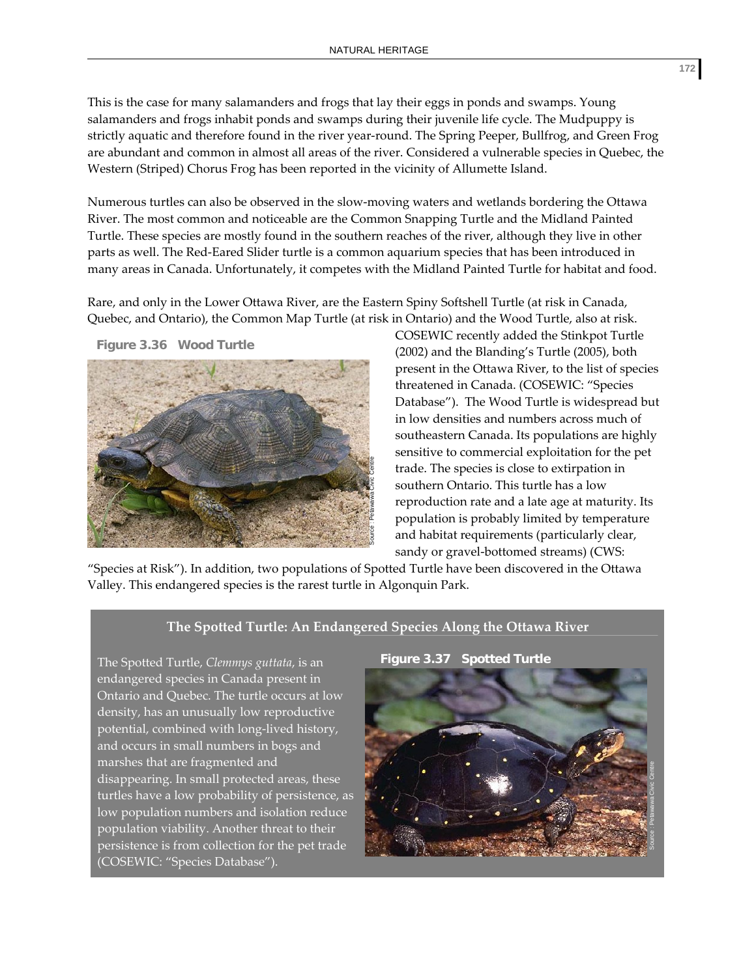This is the case for many salamanders and frogs that lay their eggs in ponds and swamps. Young salamanders and frogs inhabit ponds and swamps during their juvenile life cycle. The Mudpuppy is strictly aquatic and therefore found in the river year-round. The Spring Peeper, Bullfrog, and Green Frog are abundant and common in almost all areas of the river. Considered a vulnerable species in Quebec, the Western (Striped) Chorus Frog has been reported in the vicinity of Allumette Island.

Numerous turtles can also be observed in the slow‐moving waters and wetlands bordering the Ottawa River. The most common and noticeable are the Common Snapping Turtle and the Midland Painted Turtle. These species are mostly found in the southern reaches of the river, although they live in other parts as well. The Red‐Eared Slider turtle is a common aquarium species that has been introduced in many areas in Canada. Unfortunately, it competes with the Midland Painted Turtle for habitat and food.

Rare, and only in the Lower Ottawa River, are the Eastern Spiny Softshell Turtle (at risk in Canada, Quebec, and Ontario), the Common Map Turtle (at risk in Ontario) and the Wood Turtle, also at risk.

**Figure 3.36 Wood Turtle** 



COSEWIC recently added the Stinkpot Turtle (2002) and the Blanding's Turtle (2005), both present in the Ottawa River, to the list of species threatened in Canada. (COSEWIC: "Species Database"). The Wood Turtle is widespread but in low densities and numbers across much of southeastern Canada. Its populations are highly sensitive to commercial exploitation for the pet trade. The species is close to extirpation in southern Ontario. This turtle has a low reproduction rate and a late age at maturity. Its population is probably limited by temperature and habitat requirements (particularly clear, sandy or gravel-bottomed streams) (CWS:

"Species at Risk"). In addition, two populations of Spotted Turtle have been discovered in the Ottawa Valley. This endangered species is the rarest turtle in Algonquin Park.

#### **The Spotted Turtle: An Endangered Species Along the Ottawa River**

The Spotted Turtle, *Clemmys guttata*, is an endangered species in Canada present in Ontario and Quebec. The turtle occurs at low density, has an unusually low reproductive potential, combined with long‐lived history, and occurs in small numbers in bogs and marshes that are fragmented and disappearing. In small protected areas, these turtles have a low probability of persistence, as low population numbers and isolation reduce population viability. Another threat to their persistence is from collection for the pet trade (COSEWIC: "Species Database").

**Figure 3.37 Spotted Turtle** 

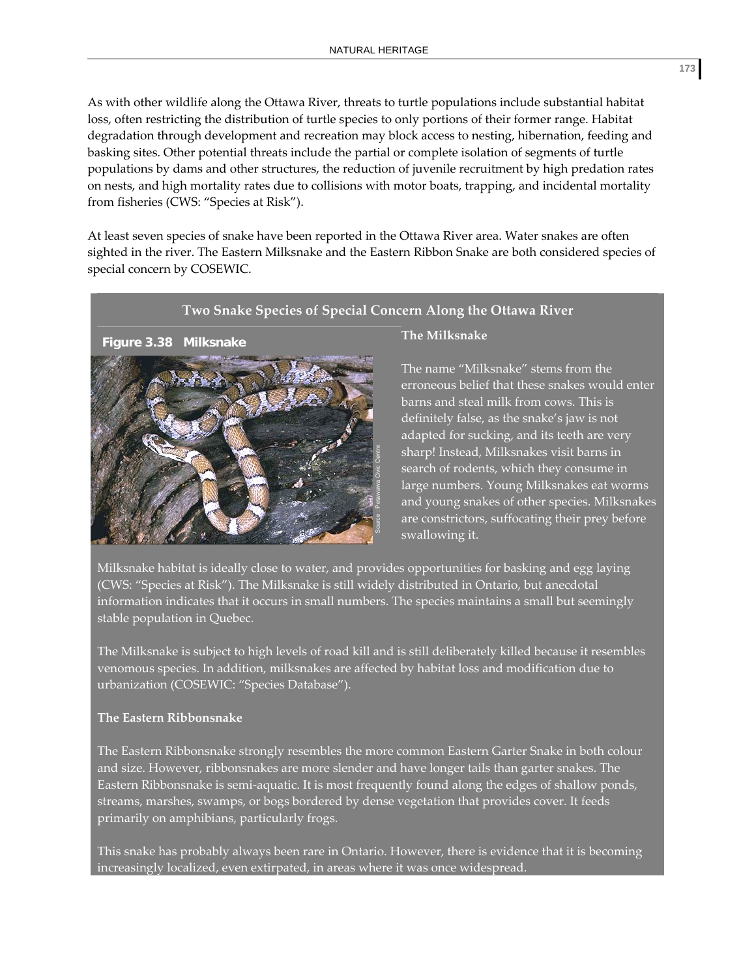As with other wildlife along the Ottawa River, threats to turtle populations include substantial habitat loss, often restricting the distribution of turtle species to only portions of their former range. Habitat degradation through development and recreation may block access to nesting, hibernation, feeding and basking sites. Other potential threats include the partial or complete isolation of segments of turtle populations by dams and other structures, the reduction of juvenile recruitment by high predation rates on nests, and high mortality rates due to collisions with motor boats, trapping, and incidental mortality from fisheries (CWS: "Species at Risk").

At least seven species of snake have been reported in the Ottawa River area. Water snakes are often sighted in the river. The Eastern Milksnake and the Eastern Ribbon Snake are both considered species of special concern by COSEWIC.

#### **Two Snake Species of Special Concern Along the Ottawa River**



#### **The Milksnake**

The name "Milksnake" stems from the erroneous belief that these snakes would enter barns and steal milk from cows. This is definitely false, as the snake's jaw is not adapted for sucking, and its teeth are very sharp! Instead, Milksnakes visit barns in search of rodents, which they consume in large numbers. Young Milksnakes eat worms and young snakes of other species. Milksnakes are constrictors, suffocating their prey before swallowing it.

Milksnake habitat is ideally close to water, and provides opportunities for basking and egg laying (CWS: "Species at Risk"). The Milksnake is still widely distributed in Ontario, but anecdotal information indicates that it occurs in small numbers. The species maintains a small but seemingly stable population in Quebec.

The Milksnake is subject to high levels of road kill and is still deliberately killed because it resembles venomous species. In addition, milksnakes are affected by habitat loss and modification due to urbanization (COSEWIC: "Species Database").

#### **The Eastern Ribbonsnake**

The Eastern Ribbonsnake strongly resembles the more common Eastern Garter Snake in both colour and size. However, ribbonsnakes are more slender and have longer tails than garter snakes. The Eastern Ribbonsnake is semi‐aquatic. It is most frequently found along the edges of shallow ponds, streams, marshes, swamps, or bogs bordered by dense vegetation that provides cover. It feeds primarily on amphibians, particularly frogs.

This snake has probably always been rare in Ontario. However, there is evidence that it is becoming increasingly localized, even extirpated, in areas where it was once widespread.